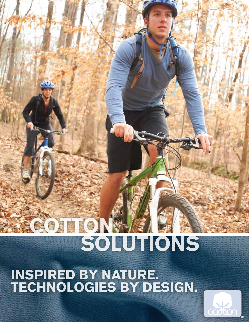## COTTON SOLUTIONS

INSPIRED BY NATURE. TECHNOLOGIES BY DESIGN.